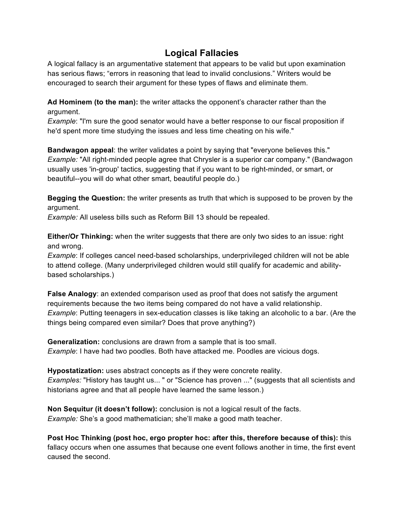## **Logical Fallacies**

A logical fallacy is an argumentative statement that appears to be valid but upon examination has serious flaws; "errors in reasoning that lead to invalid conclusions." Writers would be encouraged to search their argument for these types of flaws and eliminate them.

**Ad Hominem (to the man):** the writer attacks the opponent's character rather than the argument.

*Example*: "I'm sure the good senator would have a better response to our fiscal proposition if he'd spent more time studying the issues and less time cheating on his wife."

**Bandwagon appeal**: the writer validates a point by saying that "everyone believes this." *Example:* "All right-minded people agree that Chrysler is a superior car company." (Bandwagon usually uses 'in-group' tactics, suggesting that if you want to be right-minded, or smart, or beautiful--you will do what other smart, beautiful people do.)

**Begging the Question:** the writer presents as truth that which is supposed to be proven by the argument.

*Example:* All useless bills such as Reform BilI 13 should be repealed.

**Either/Or Thinking:** when the writer suggests that there are only two sides to an issue: right and wrong.

*Example*: If colleges cancel need-based scholarships, underprivileged children will not be able to attend college. (Many underprivileged children would still qualify for academic and abilitybased scholarships.)

**False Analogy**: an extended comparison used as proof that does not satisfy the argument requirements because the two items being compared do not have a valid relationship. *Example*: Putting teenagers in sex-education classes is like taking an alcoholic to a bar. (Are the things being compared even similar? Does that prove anything?)

**Generalization:** conclusions are drawn from a sample that is too small. *Example*: I have had two poodles. Both have attacked me. Poodles are vicious dogs.

**Hypostatization:** uses abstract concepts as if they were concrete reality. *Examples:* "History has taught us... " or "Science has proven ..." (suggests that all scientists and historians agree and that all people have learned the same lesson.)

**Non Sequitur (it doesn't follow):** conclusion is not a logical result of the facts. *Example:* She's a good mathematician; she'll make a good math teacher.

**Post Hoc Thinking (post hoc, ergo propter hoc: after this, therefore because of this):** this fallacy occurs when one assumes that because one event follows another in time, the first event caused the second.